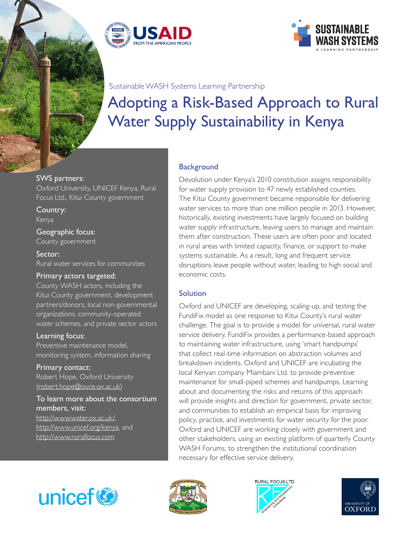



#### Sustainable WASH Systems Learning Partnership

# Adopting a Risk-Based Approach to Rural Water Supply Sustainability in Kenya

#### SWS partners:

Oxford University, UNICEF Kenya, Rural Focus Ltd., Kitui County government

Country: Kenya

Geographic focus: County government

Sector: Rural water services for communities

### Primary actors targeted:

County WASH actors, including the Kitui County government, development partners/donors, local non-governmental organizations, community-operated water schemes, and private sector actors

Learning focus:

Preventive maintenance model, monitoring system, information sharing

Primary contact: Robert Hope, Oxford University ([robert.hope@ouce.ox.ac.uk](mailto:robert.hope%40ouce.ox.ac.uk?subject=))

To learn more about the consortium members, visit: <http://www.water.ox.ac.uk/>, <http://www.unicef.org/kenya>, and <http://www.ruralfocus.com>

# **Background**

Devolution under Kenya's 2010 constitution assigns responsibility for water supply provision to 47 newly established counties. The Kitui County government became responsible for delivering water services to more than one million people in 2013. However, historically, existing investments have largely focused on building water supply infrastructure, leaving users to manage and maintain them after construction. These users are often poor and located in rural areas with limited capacity, finance, or support to make systems sustainable. As a result, long and frequent service disruptions leave people without water, leading to high social and economic costs.

### Solution

Oxford and UNICEF are developing, scaling-up, and testing the FundiFix model as one response to Kitui County's rural water challenge. The goal is to provide a model for universal, rural water service delivery. FundiFix provides a performance-based approach to maintaining water infrastructure, using 'smart handpumps' that collect real-time information on abstraction volumes and breakdown incidents. Oxford and UNICEF are incubating the local Kenyan company Miambani Ltd. to provide preventive maintenance for small-piped schemes and handpumps. Learning about and documenting the risks and returns of this approach will provide insights and direction for government, private sector, and communities to establish an empirical basis for improving policy, practice, and investments for water security for the poor. Oxford and UNICEF are working closely with government and other stakeholders, using an existing platform of quarterly County WASH Forums, to strengthen the institutional coordination necessary for effective service delivery.